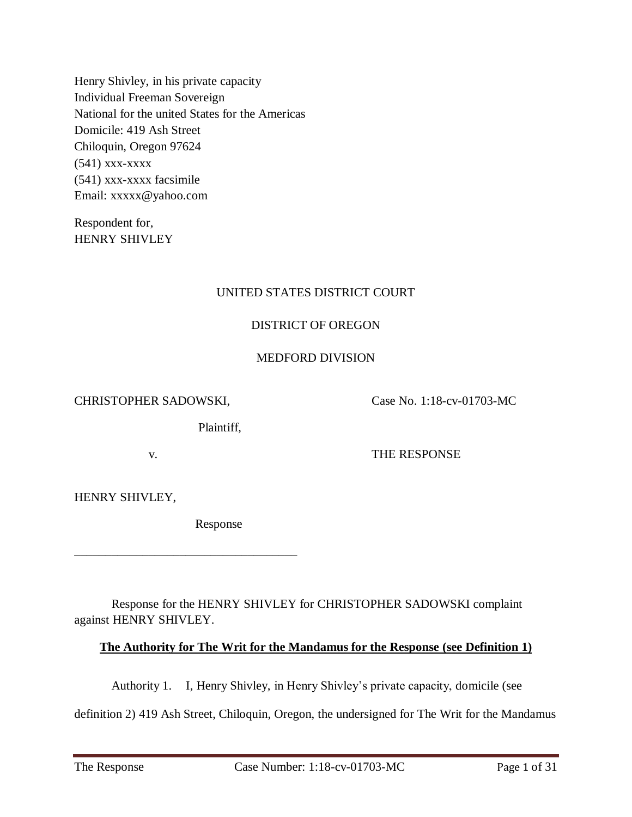Henry Shivley, in his private capacity Individual Freeman Sovereign National for the united States for the Americas Domicile: 419 Ash Street Chiloquin, Oregon 97624 (541) xxx-xxxx (541) xxx-xxxx facsimile Email: xxxxx@yahoo.com

Respondent for, HENRY SHIVLEY

## UNITED STATES DISTRICT COURT

## DISTRICT OF OREGON

## MEDFORD DIVISION

CHRISTOPHER SADOWSKI, Case No. 1:18-cv-01703-MC

Plaintiff,

v. THE RESPONSE

HENRY SHIVLEY,

Response

\_\_\_\_\_\_\_\_\_\_\_\_\_\_\_\_\_\_\_\_\_\_\_\_\_\_\_\_\_\_\_\_\_\_\_\_

Response for the HENRY SHIVLEY for CHRISTOPHER SADOWSKI complaint against HENRY SHIVLEY.

## **The Authority for The Writ for the Mandamus for the Response (see Definition 1)**

Authority 1. I, Henry Shivley, in Henry Shivley's private capacity, domicile (see

definition 2) 419 Ash Street, Chiloquin, Oregon, the undersigned for The Writ for the Mandamus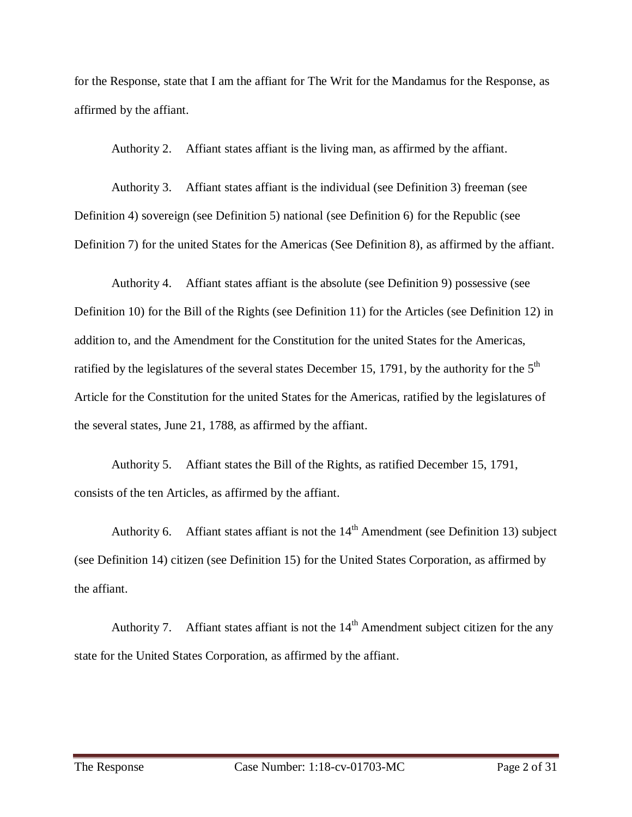for the Response, state that I am the affiant for The Writ for the Mandamus for the Response, as affirmed by the affiant.

Authority 2. Affiant states affiant is the living man, as affirmed by the affiant.

Authority 3. Affiant states affiant is the individual (see Definition 3) freeman (see Definition 4) sovereign (see Definition 5) national (see Definition 6) for the Republic (see Definition 7) for the united States for the Americas (See Definition 8), as affirmed by the affiant.

Authority 4. Affiant states affiant is the absolute (see Definition 9) possessive (see Definition 10) for the Bill of the Rights (see Definition 11) for the Articles (see Definition 12) in addition to, and the Amendment for the Constitution for the united States for the Americas, ratified by the legislatures of the several states December 15, 1791, by the authority for the  $5<sup>th</sup>$ Article for the Constitution for the united States for the Americas, ratified by the legislatures of the several states, June 21, 1788, as affirmed by the affiant.

Authority 5. Affiant states the Bill of the Rights, as ratified December 15, 1791, consists of the ten Articles, as affirmed by the affiant.

Authority 6. Affiant states affiant is not the  $14<sup>th</sup>$  Amendment (see Definition 13) subject (see Definition 14) citizen (see Definition 15) for the United States Corporation, as affirmed by the affiant.

Authority 7. Affiant states affiant is not the  $14<sup>th</sup>$  Amendment subject citizen for the any state for the United States Corporation, as affirmed by the affiant.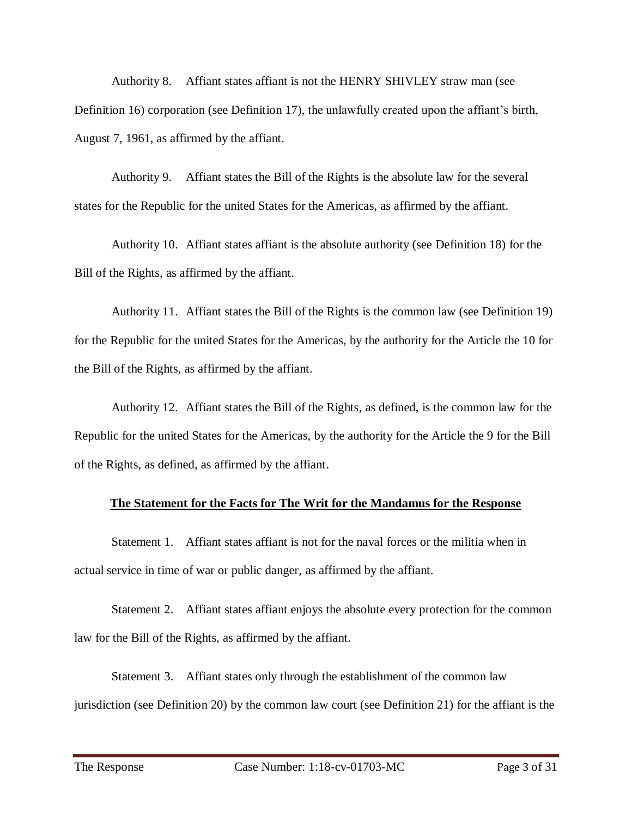Authority 8. Affiant states affiant is not the HENRY SHIVLEY straw man (see Definition 16) corporation (see Definition 17), the unlawfully created upon the affiant's birth, August 7, 1961, as affirmed by the affiant.

Authority 9. Affiant states the Bill of the Rights is the absolute law for the several states for the Republic for the united States for the Americas, as affirmed by the affiant.

Authority 10. Affiant states affiant is the absolute authority (see Definition 18) for the Bill of the Rights, as affirmed by the affiant.

Authority 11. Affiant states the Bill of the Rights is the common law (see Definition 19) for the Republic for the united States for the Americas, by the authority for the Article the 10 for the Bill of the Rights, as affirmed by the affiant.

Authority 12. Affiant states the Bill of the Rights, as defined, is the common law for the Republic for the united States for the Americas, by the authority for the Article the 9 for the Bill of the Rights, as defined, as affirmed by the affiant.

#### **The Statement for the Facts for The Writ for the Mandamus for the Response**

Statement 1. Affiant states affiant is not for the naval forces or the militia when in actual service in time of war or public danger, as affirmed by the affiant.

Statement 2. Affiant states affiant enjoys the absolute every protection for the common law for the Bill of the Rights, as affirmed by the affiant.

Statement 3. Affiant states only through the establishment of the common law jurisdiction (see Definition 20) by the common law court (see Definition 21) for the affiant is the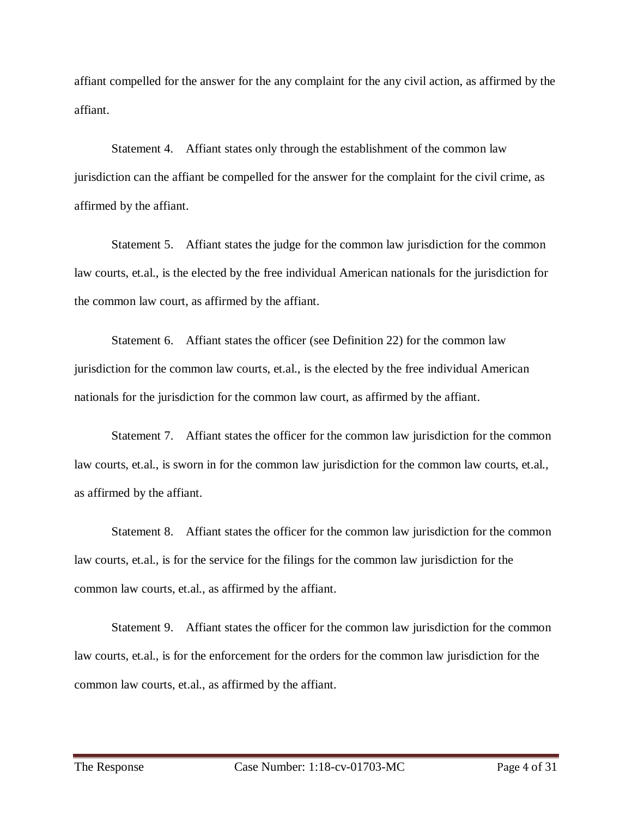affiant compelled for the answer for the any complaint for the any civil action, as affirmed by the affiant.

Statement 4. Affiant states only through the establishment of the common law jurisdiction can the affiant be compelled for the answer for the complaint for the civil crime, as affirmed by the affiant.

Statement 5. Affiant states the judge for the common law jurisdiction for the common law courts, et.al., is the elected by the free individual American nationals for the jurisdiction for the common law court, as affirmed by the affiant.

Statement 6. Affiant states the officer (see Definition 22) for the common law jurisdiction for the common law courts, et.al., is the elected by the free individual American nationals for the jurisdiction for the common law court, as affirmed by the affiant.

Statement 7. Affiant states the officer for the common law jurisdiction for the common law courts, et.al., is sworn in for the common law jurisdiction for the common law courts, et.al., as affirmed by the affiant.

Statement 8. Affiant states the officer for the common law jurisdiction for the common law courts, et.al., is for the service for the filings for the common law jurisdiction for the common law courts, et.al., as affirmed by the affiant.

Statement 9. Affiant states the officer for the common law jurisdiction for the common law courts, et.al., is for the enforcement for the orders for the common law jurisdiction for the common law courts, et.al., as affirmed by the affiant.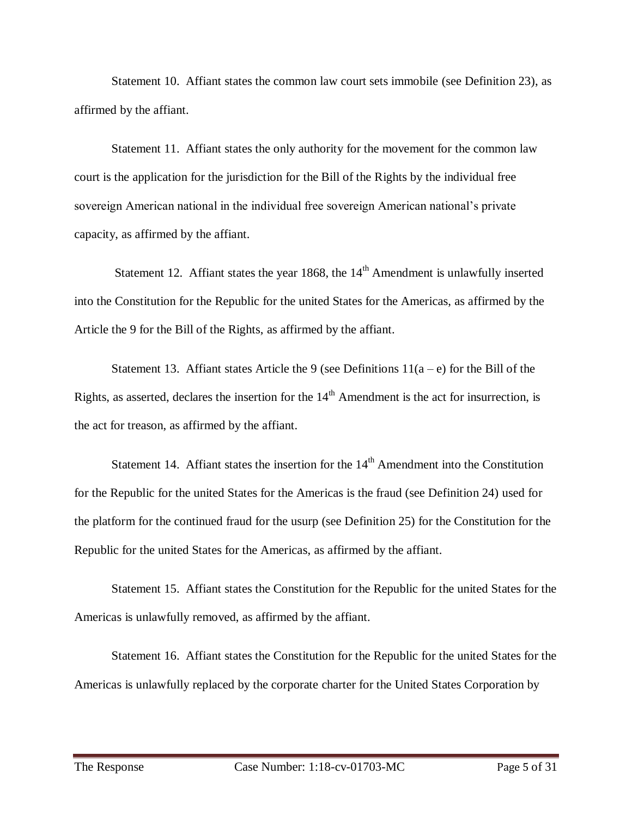Statement 10. Affiant states the common law court sets immobile (see Definition 23), as affirmed by the affiant.

Statement 11. Affiant states the only authority for the movement for the common law court is the application for the jurisdiction for the Bill of the Rights by the individual free sovereign American national in the individual free sovereign American national's private capacity, as affirmed by the affiant.

Statement 12. Affiant states the year 1868, the  $14<sup>th</sup>$  Amendment is unlawfully inserted into the Constitution for the Republic for the united States for the Americas, as affirmed by the Article the 9 for the Bill of the Rights, as affirmed by the affiant.

Statement 13. Affiant states Article the 9 (see Definitions  $11(a-e)$  for the Bill of the Rights, as asserted, declares the insertion for the  $14<sup>th</sup>$  Amendment is the act for insurrection, is the act for treason, as affirmed by the affiant.

Statement 14. Affiant states the insertion for the  $14<sup>th</sup>$  Amendment into the Constitution for the Republic for the united States for the Americas is the fraud (see Definition 24) used for the platform for the continued fraud for the usurp (see Definition 25) for the Constitution for the Republic for the united States for the Americas, as affirmed by the affiant.

Statement 15. Affiant states the Constitution for the Republic for the united States for the Americas is unlawfully removed, as affirmed by the affiant.

Statement 16. Affiant states the Constitution for the Republic for the united States for the Americas is unlawfully replaced by the corporate charter for the United States Corporation by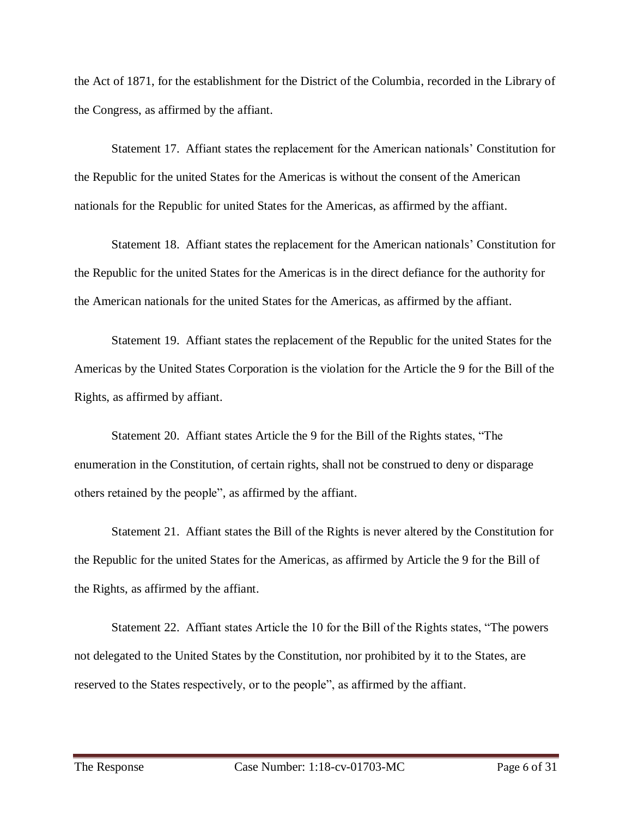the Act of 1871, for the establishment for the District of the Columbia, recorded in the Library of the Congress, as affirmed by the affiant.

Statement 17. Affiant states the replacement for the American nationals' Constitution for the Republic for the united States for the Americas is without the consent of the American nationals for the Republic for united States for the Americas, as affirmed by the affiant.

Statement 18. Affiant states the replacement for the American nationals' Constitution for the Republic for the united States for the Americas is in the direct defiance for the authority for the American nationals for the united States for the Americas, as affirmed by the affiant.

Statement 19. Affiant states the replacement of the Republic for the united States for the Americas by the United States Corporation is the violation for the Article the 9 for the Bill of the Rights, as affirmed by affiant.

Statement 20. Affiant states Article the 9 for the Bill of the Rights states, "The enumeration in the Constitution, of certain rights, shall not be construed to deny or disparage others retained by the people", as affirmed by the affiant.

Statement 21. Affiant states the Bill of the Rights is never altered by the Constitution for the Republic for the united States for the Americas, as affirmed by Article the 9 for the Bill of the Rights, as affirmed by the affiant.

Statement 22. Affiant states Article the 10 for the Bill of the Rights states, "The powers not delegated to the United States by the Constitution, nor prohibited by it to the States, are reserved to the States respectively, or to the people", as affirmed by the affiant.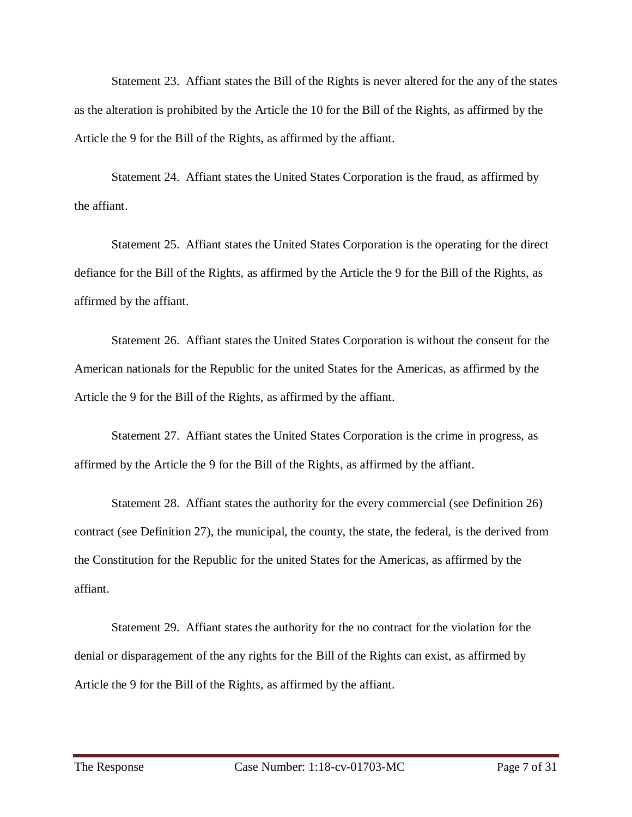Statement 23. Affiant states the Bill of the Rights is never altered for the any of the states as the alteration is prohibited by the Article the 10 for the Bill of the Rights, as affirmed by the Article the 9 for the Bill of the Rights, as affirmed by the affiant.

Statement 24. Affiant states the United States Corporation is the fraud, as affirmed by the affiant.

Statement 25. Affiant states the United States Corporation is the operating for the direct defiance for the Bill of the Rights, as affirmed by the Article the 9 for the Bill of the Rights, as affirmed by the affiant.

Statement 26. Affiant states the United States Corporation is without the consent for the American nationals for the Republic for the united States for the Americas, as affirmed by the Article the 9 for the Bill of the Rights, as affirmed by the affiant.

Statement 27. Affiant states the United States Corporation is the crime in progress, as affirmed by the Article the 9 for the Bill of the Rights, as affirmed by the affiant.

Statement 28. Affiant states the authority for the every commercial (see Definition 26) contract (see Definition 27), the municipal, the county, the state, the federal, is the derived from the Constitution for the Republic for the united States for the Americas, as affirmed by the affiant.

Statement 29. Affiant states the authority for the no contract for the violation for the denial or disparagement of the any rights for the Bill of the Rights can exist, as affirmed by Article the 9 for the Bill of the Rights, as affirmed by the affiant.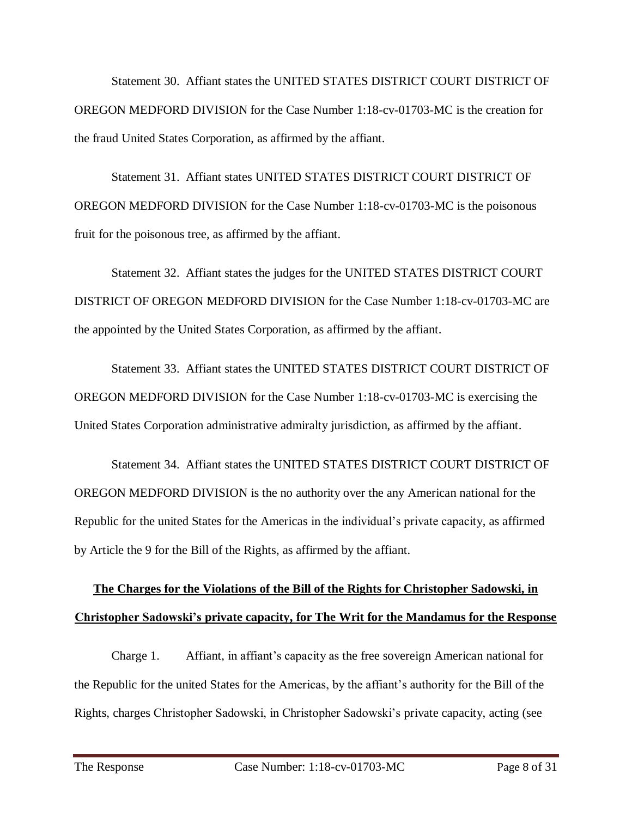Statement 30. Affiant states the UNITED STATES DISTRICT COURT DISTRICT OF OREGON MEDFORD DIVISION for the Case Number 1:18-cv-01703-MC is the creation for the fraud United States Corporation, as affirmed by the affiant.

Statement 31. Affiant states UNITED STATES DISTRICT COURT DISTRICT OF OREGON MEDFORD DIVISION for the Case Number 1:18-cv-01703-MC is the poisonous fruit for the poisonous tree, as affirmed by the affiant.

Statement 32. Affiant states the judges for the UNITED STATES DISTRICT COURT DISTRICT OF OREGON MEDFORD DIVISION for the Case Number 1:18-cv-01703-MC are the appointed by the United States Corporation, as affirmed by the affiant.

Statement 33. Affiant states the UNITED STATES DISTRICT COURT DISTRICT OF OREGON MEDFORD DIVISION for the Case Number 1:18-cv-01703-MC is exercising the United States Corporation administrative admiralty jurisdiction, as affirmed by the affiant.

Statement 34. Affiant states the UNITED STATES DISTRICT COURT DISTRICT OF OREGON MEDFORD DIVISION is the no authority over the any American national for the Republic for the united States for the Americas in the individual's private capacity, as affirmed by Article the 9 for the Bill of the Rights, as affirmed by the affiant.

# **The Charges for the Violations of the Bill of the Rights for Christopher Sadowski, in Christopher Sadowski's private capacity, for The Writ for the Mandamus for the Response**

Charge 1. Affiant, in affiant's capacity as the free sovereign American national for the Republic for the united States for the Americas, by the affiant's authority for the Bill of the Rights, charges Christopher Sadowski, in Christopher Sadowski's private capacity, acting (see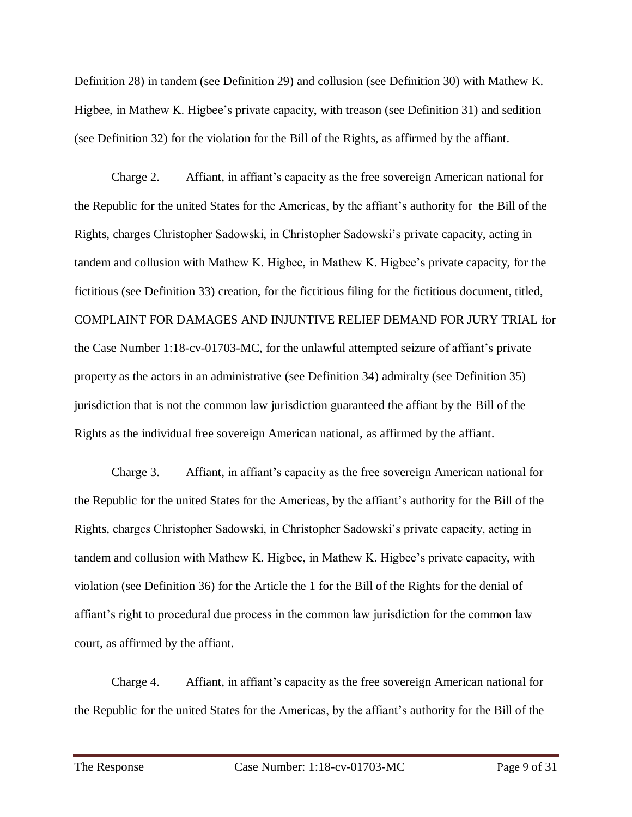Definition 28) in tandem (see Definition 29) and collusion (see Definition 30) with Mathew K. Higbee, in Mathew K. Higbee's private capacity, with treason (see Definition 31) and sedition (see Definition 32) for the violation for the Bill of the Rights, as affirmed by the affiant.

Charge 2. Affiant, in affiant's capacity as the free sovereign American national for the Republic for the united States for the Americas, by the affiant's authority for the Bill of the Rights, charges Christopher Sadowski, in Christopher Sadowski's private capacity, acting in tandem and collusion with Mathew K. Higbee, in Mathew K. Higbee's private capacity, for the fictitious (see Definition 33) creation, for the fictitious filing for the fictitious document, titled, COMPLAINT FOR DAMAGES AND INJUNTIVE RELIEF DEMAND FOR JURY TRIAL for the Case Number 1:18-cv-01703-MC, for the unlawful attempted seizure of affiant's private property as the actors in an administrative (see Definition 34) admiralty (see Definition 35) jurisdiction that is not the common law jurisdiction guaranteed the affiant by the Bill of the Rights as the individual free sovereign American national, as affirmed by the affiant.

Charge 3. Affiant, in affiant's capacity as the free sovereign American national for the Republic for the united States for the Americas, by the affiant's authority for the Bill of the Rights, charges Christopher Sadowski, in Christopher Sadowski's private capacity, acting in tandem and collusion with Mathew K. Higbee, in Mathew K. Higbee's private capacity, with violation (see Definition 36) for the Article the 1 for the Bill of the Rights for the denial of affiant's right to procedural due process in the common law jurisdiction for the common law court, as affirmed by the affiant.

Charge 4. Affiant, in affiant's capacity as the free sovereign American national for the Republic for the united States for the Americas, by the affiant's authority for the Bill of the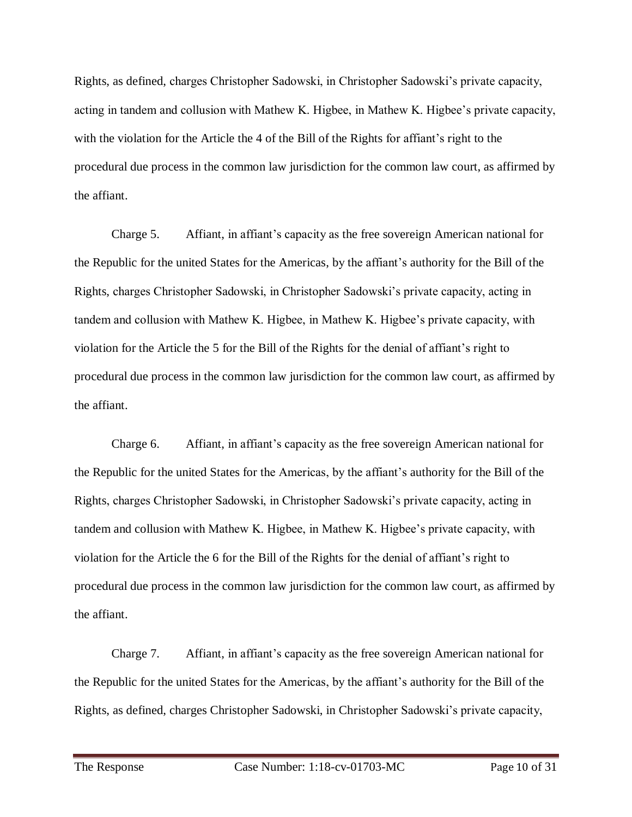Rights, as defined, charges Christopher Sadowski, in Christopher Sadowski's private capacity, acting in tandem and collusion with Mathew K. Higbee, in Mathew K. Higbee's private capacity, with the violation for the Article the 4 of the Bill of the Rights for affiant's right to the procedural due process in the common law jurisdiction for the common law court, as affirmed by the affiant.

Charge 5. Affiant, in affiant's capacity as the free sovereign American national for the Republic for the united States for the Americas, by the affiant's authority for the Bill of the Rights, charges Christopher Sadowski, in Christopher Sadowski's private capacity, acting in tandem and collusion with Mathew K. Higbee, in Mathew K. Higbee's private capacity, with violation for the Article the 5 for the Bill of the Rights for the denial of affiant's right to procedural due process in the common law jurisdiction for the common law court, as affirmed by the affiant.

Charge 6. Affiant, in affiant's capacity as the free sovereign American national for the Republic for the united States for the Americas, by the affiant's authority for the Bill of the Rights, charges Christopher Sadowski, in Christopher Sadowski's private capacity, acting in tandem and collusion with Mathew K. Higbee, in Mathew K. Higbee's private capacity, with violation for the Article the 6 for the Bill of the Rights for the denial of affiant's right to procedural due process in the common law jurisdiction for the common law court, as affirmed by the affiant.

Charge 7. Affiant, in affiant's capacity as the free sovereign American national for the Republic for the united States for the Americas, by the affiant's authority for the Bill of the Rights, as defined, charges Christopher Sadowski, in Christopher Sadowski's private capacity,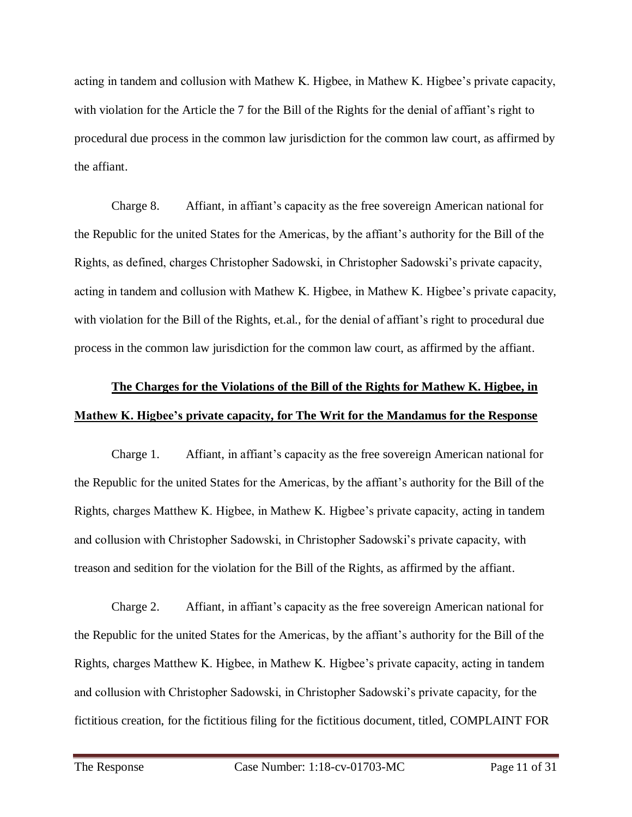acting in tandem and collusion with Mathew K. Higbee, in Mathew K. Higbee's private capacity, with violation for the Article the 7 for the Bill of the Rights for the denial of affiant's right to procedural due process in the common law jurisdiction for the common law court, as affirmed by the affiant.

Charge 8. Affiant, in affiant's capacity as the free sovereign American national for the Republic for the united States for the Americas, by the affiant's authority for the Bill of the Rights, as defined, charges Christopher Sadowski, in Christopher Sadowski's private capacity, acting in tandem and collusion with Mathew K. Higbee, in Mathew K. Higbee's private capacity, with violation for the Bill of the Rights, et.al., for the denial of affiant's right to procedural due process in the common law jurisdiction for the common law court, as affirmed by the affiant.

# **The Charges for the Violations of the Bill of the Rights for Mathew K. Higbee, in Mathew K. Higbee's private capacity, for The Writ for the Mandamus for the Response**

Charge 1. Affiant, in affiant's capacity as the free sovereign American national for the Republic for the united States for the Americas, by the affiant's authority for the Bill of the Rights, charges Matthew K. Higbee, in Mathew K. Higbee's private capacity, acting in tandem and collusion with Christopher Sadowski, in Christopher Sadowski's private capacity, with treason and sedition for the violation for the Bill of the Rights, as affirmed by the affiant.

Charge 2. Affiant, in affiant's capacity as the free sovereign American national for the Republic for the united States for the Americas, by the affiant's authority for the Bill of the Rights, charges Matthew K. Higbee, in Mathew K. Higbee's private capacity, acting in tandem and collusion with Christopher Sadowski, in Christopher Sadowski's private capacity, for the fictitious creation, for the fictitious filing for the fictitious document, titled, COMPLAINT FOR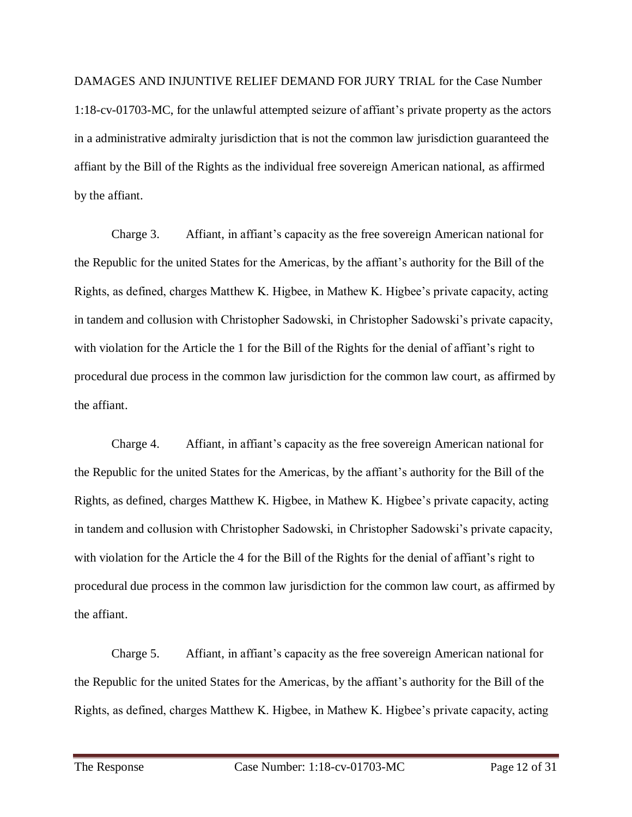DAMAGES AND INJUNTIVE RELIEF DEMAND FOR JURY TRIAL for the Case Number 1:18-cv-01703-MC, for the unlawful attempted seizure of affiant's private property as the actors in a administrative admiralty jurisdiction that is not the common law jurisdiction guaranteed the affiant by the Bill of the Rights as the individual free sovereign American national, as affirmed by the affiant.

Charge 3. Affiant, in affiant's capacity as the free sovereign American national for the Republic for the united States for the Americas, by the affiant's authority for the Bill of the Rights, as defined, charges Matthew K. Higbee, in Mathew K. Higbee's private capacity, acting in tandem and collusion with Christopher Sadowski, in Christopher Sadowski's private capacity, with violation for the Article the 1 for the Bill of the Rights for the denial of affiant's right to procedural due process in the common law jurisdiction for the common law court, as affirmed by the affiant.

Charge 4. Affiant, in affiant's capacity as the free sovereign American national for the Republic for the united States for the Americas, by the affiant's authority for the Bill of the Rights, as defined, charges Matthew K. Higbee, in Mathew K. Higbee's private capacity, acting in tandem and collusion with Christopher Sadowski, in Christopher Sadowski's private capacity, with violation for the Article the 4 for the Bill of the Rights for the denial of affiant's right to procedural due process in the common law jurisdiction for the common law court, as affirmed by the affiant.

Charge 5. Affiant, in affiant's capacity as the free sovereign American national for the Republic for the united States for the Americas, by the affiant's authority for the Bill of the Rights, as defined, charges Matthew K. Higbee, in Mathew K. Higbee's private capacity, acting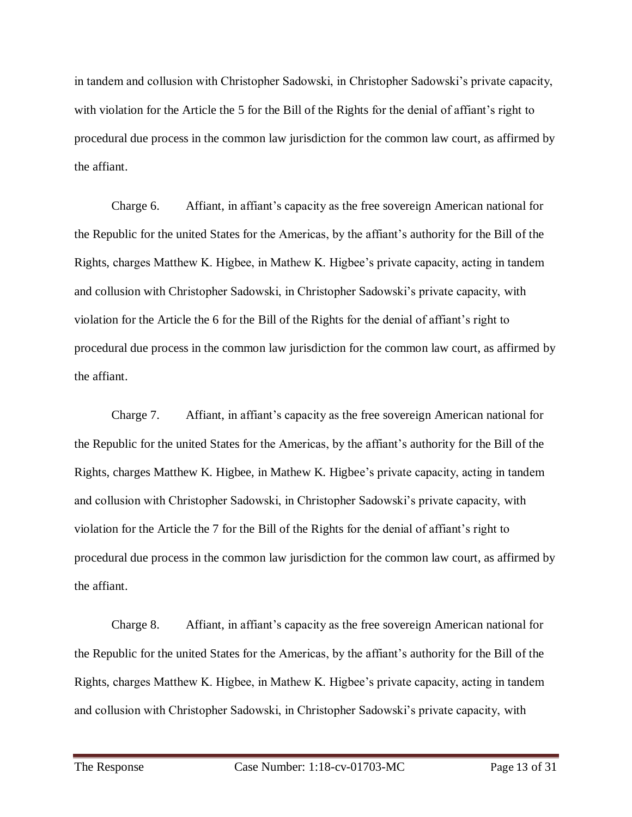in tandem and collusion with Christopher Sadowski, in Christopher Sadowski's private capacity, with violation for the Article the 5 for the Bill of the Rights for the denial of affiant's right to procedural due process in the common law jurisdiction for the common law court, as affirmed by the affiant.

Charge 6. Affiant, in affiant's capacity as the free sovereign American national for the Republic for the united States for the Americas, by the affiant's authority for the Bill of the Rights, charges Matthew K. Higbee, in Mathew K. Higbee's private capacity, acting in tandem and collusion with Christopher Sadowski, in Christopher Sadowski's private capacity, with violation for the Article the 6 for the Bill of the Rights for the denial of affiant's right to procedural due process in the common law jurisdiction for the common law court, as affirmed by the affiant.

Charge 7. Affiant, in affiant's capacity as the free sovereign American national for the Republic for the united States for the Americas, by the affiant's authority for the Bill of the Rights, charges Matthew K. Higbee, in Mathew K. Higbee's private capacity, acting in tandem and collusion with Christopher Sadowski, in Christopher Sadowski's private capacity, with violation for the Article the 7 for the Bill of the Rights for the denial of affiant's right to procedural due process in the common law jurisdiction for the common law court, as affirmed by the affiant.

Charge 8. Affiant, in affiant's capacity as the free sovereign American national for the Republic for the united States for the Americas, by the affiant's authority for the Bill of the Rights, charges Matthew K. Higbee, in Mathew K. Higbee's private capacity, acting in tandem and collusion with Christopher Sadowski, in Christopher Sadowski's private capacity, with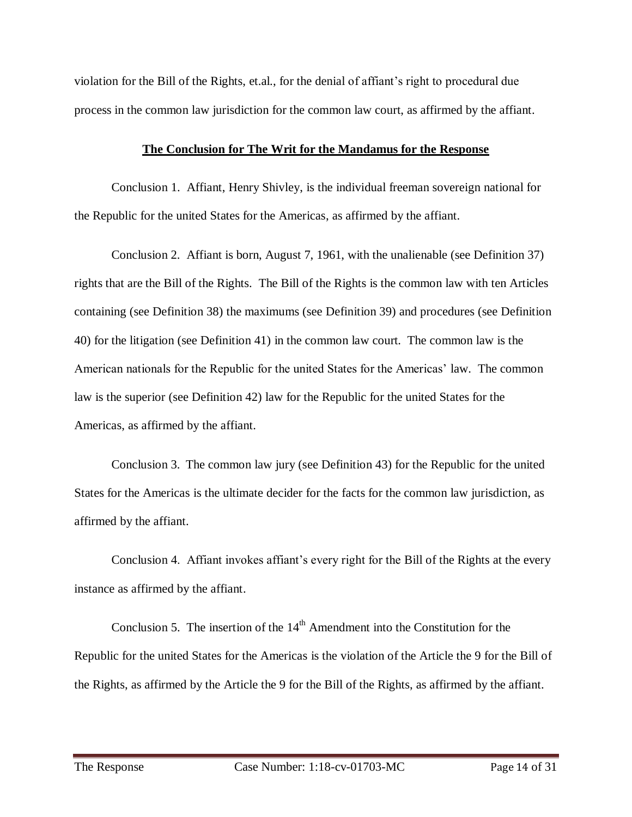violation for the Bill of the Rights, et.al., for the denial of affiant's right to procedural due process in the common law jurisdiction for the common law court, as affirmed by the affiant.

#### **The Conclusion for The Writ for the Mandamus for the Response**

Conclusion 1. Affiant, Henry Shivley, is the individual freeman sovereign national for the Republic for the united States for the Americas, as affirmed by the affiant.

Conclusion 2. Affiant is born, August 7, 1961, with the unalienable (see Definition 37) rights that are the Bill of the Rights. The Bill of the Rights is the common law with ten Articles containing (see Definition 38) the maximums (see Definition 39) and procedures (see Definition 40) for the litigation (see Definition 41) in the common law court. The common law is the American nationals for the Republic for the united States for the Americas' law. The common law is the superior (see Definition 42) law for the Republic for the united States for the Americas, as affirmed by the affiant.

Conclusion 3. The common law jury (see Definition 43) for the Republic for the united States for the Americas is the ultimate decider for the facts for the common law jurisdiction, as affirmed by the affiant.

Conclusion 4. Affiant invokes affiant's every right for the Bill of the Rights at the every instance as affirmed by the affiant.

Conclusion 5. The insertion of the  $14<sup>th</sup>$  Amendment into the Constitution for the Republic for the united States for the Americas is the violation of the Article the 9 for the Bill of the Rights, as affirmed by the Article the 9 for the Bill of the Rights, as affirmed by the affiant.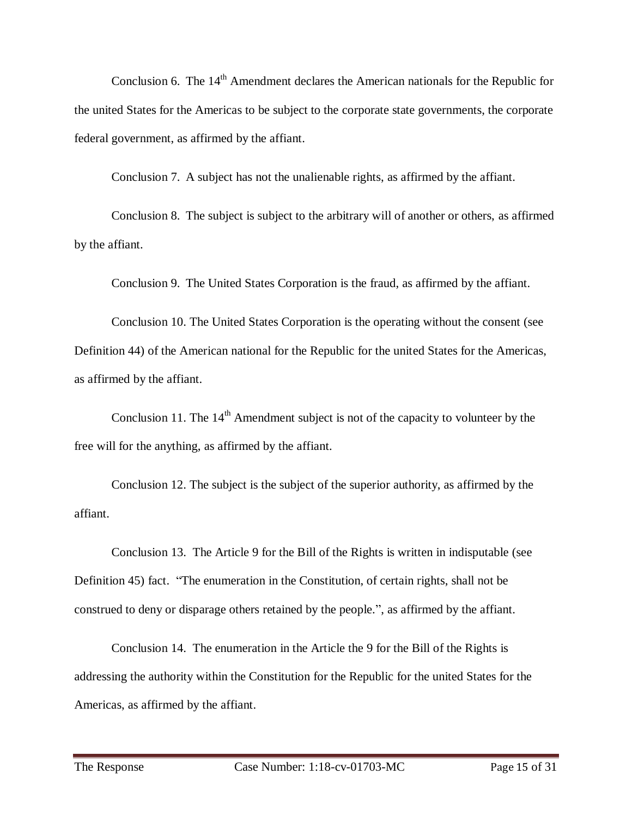Conclusion 6. The  $14<sup>th</sup>$  Amendment declares the American nationals for the Republic for the united States for the Americas to be subject to the corporate state governments, the corporate federal government, as affirmed by the affiant.

Conclusion 7. A subject has not the unalienable rights, as affirmed by the affiant.

Conclusion 8. The subject is subject to the arbitrary will of another or others, as affirmed by the affiant.

Conclusion 9. The United States Corporation is the fraud, as affirmed by the affiant.

Conclusion 10. The United States Corporation is the operating without the consent (see Definition 44) of the American national for the Republic for the united States for the Americas, as affirmed by the affiant.

Conclusion 11. The  $14<sup>th</sup>$  Amendment subject is not of the capacity to volunteer by the free will for the anything, as affirmed by the affiant.

Conclusion 12. The subject is the subject of the superior authority, as affirmed by the affiant.

Conclusion 13. The Article 9 for the Bill of the Rights is written in indisputable (see Definition 45) fact. "The enumeration in the Constitution, of certain rights, shall not be construed to deny or disparage others retained by the people.", as affirmed by the affiant.

Conclusion 14. The enumeration in the Article the 9 for the Bill of the Rights is addressing the authority within the Constitution for the Republic for the united States for the Americas, as affirmed by the affiant.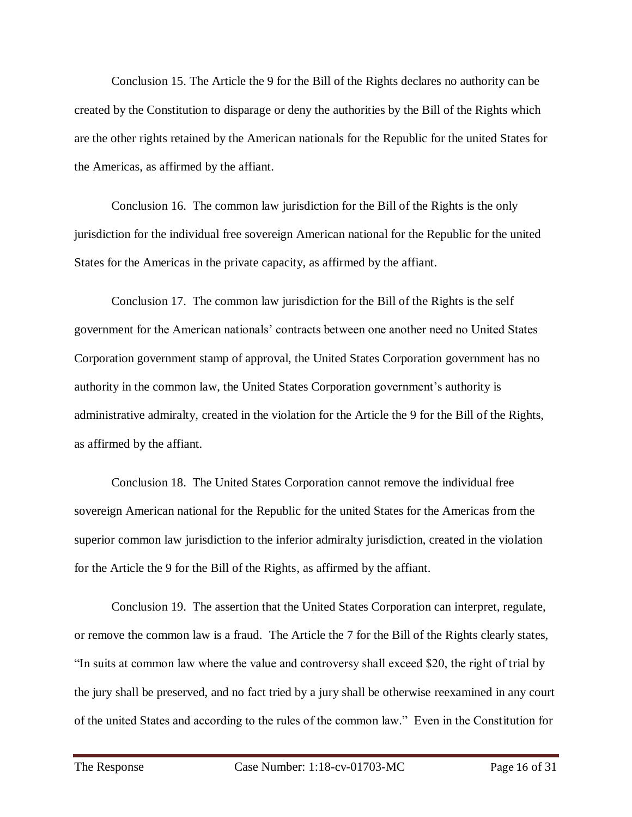Conclusion 15. The Article the 9 for the Bill of the Rights declares no authority can be created by the Constitution to disparage or deny the authorities by the Bill of the Rights which are the other rights retained by the American nationals for the Republic for the united States for the Americas, as affirmed by the affiant.

Conclusion 16. The common law jurisdiction for the Bill of the Rights is the only jurisdiction for the individual free sovereign American national for the Republic for the united States for the Americas in the private capacity, as affirmed by the affiant.

Conclusion 17. The common law jurisdiction for the Bill of the Rights is the self government for the American nationals' contracts between one another need no United States Corporation government stamp of approval, the United States Corporation government has no authority in the common law, the United States Corporation government's authority is administrative admiralty, created in the violation for the Article the 9 for the Bill of the Rights, as affirmed by the affiant.

Conclusion 18. The United States Corporation cannot remove the individual free sovereign American national for the Republic for the united States for the Americas from the superior common law jurisdiction to the inferior admiralty jurisdiction, created in the violation for the Article the 9 for the Bill of the Rights, as affirmed by the affiant.

Conclusion 19. The assertion that the United States Corporation can interpret, regulate, or remove the common law is a fraud. The Article the 7 for the Bill of the Rights clearly states, "In suits at common law where the value and controversy shall exceed \$20, the right of trial by the jury shall be preserved, and no fact tried by a jury shall be otherwise reexamined in any court of the united States and according to the rules of the common law." Even in the Constitution for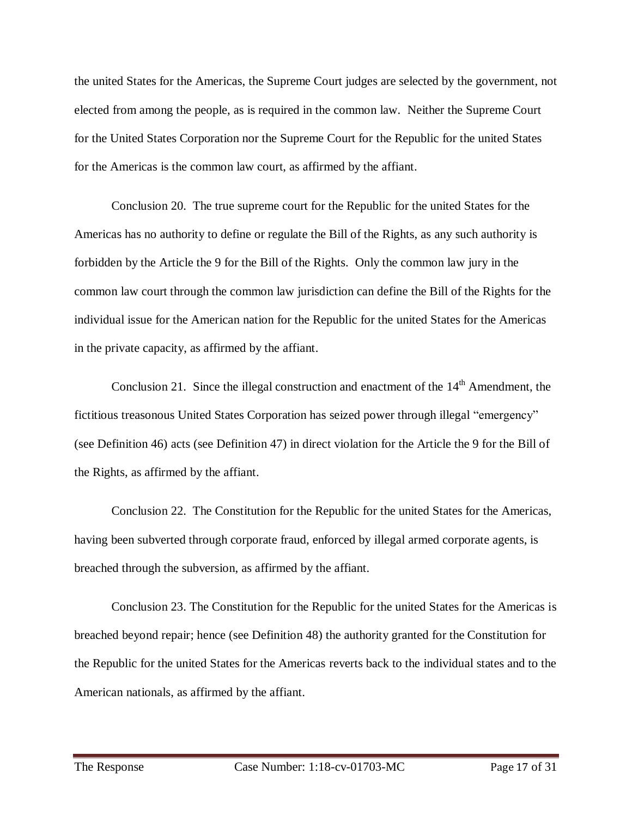the united States for the Americas, the Supreme Court judges are selected by the government, not elected from among the people, as is required in the common law. Neither the Supreme Court for the United States Corporation nor the Supreme Court for the Republic for the united States for the Americas is the common law court, as affirmed by the affiant.

Conclusion 20. The true supreme court for the Republic for the united States for the Americas has no authority to define or regulate the Bill of the Rights, as any such authority is forbidden by the Article the 9 for the Bill of the Rights. Only the common law jury in the common law court through the common law jurisdiction can define the Bill of the Rights for the individual issue for the American nation for the Republic for the united States for the Americas in the private capacity, as affirmed by the affiant.

Conclusion 21. Since the illegal construction and enactment of the  $14<sup>th</sup>$  Amendment, the fictitious treasonous United States Corporation has seized power through illegal "emergency" (see Definition 46) acts (see Definition 47) in direct violation for the Article the 9 for the Bill of the Rights, as affirmed by the affiant.

Conclusion 22. The Constitution for the Republic for the united States for the Americas, having been subverted through corporate fraud, enforced by illegal armed corporate agents, is breached through the subversion, as affirmed by the affiant.

Conclusion 23. The Constitution for the Republic for the united States for the Americas is breached beyond repair; hence (see Definition 48) the authority granted for the Constitution for the Republic for the united States for the Americas reverts back to the individual states and to the American nationals, as affirmed by the affiant.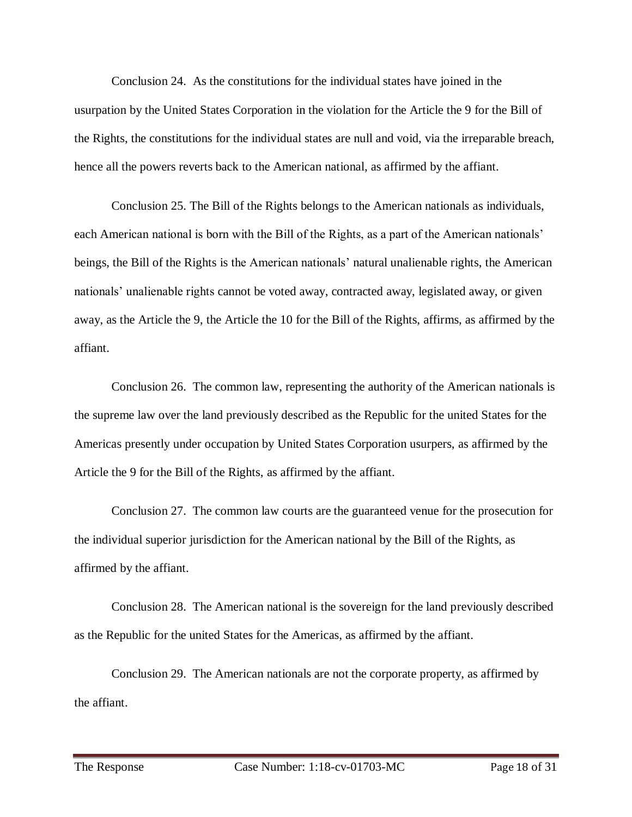Conclusion 24. As the constitutions for the individual states have joined in the usurpation by the United States Corporation in the violation for the Article the 9 for the Bill of the Rights, the constitutions for the individual states are null and void, via the irreparable breach, hence all the powers reverts back to the American national, as affirmed by the affiant.

Conclusion 25. The Bill of the Rights belongs to the American nationals as individuals, each American national is born with the Bill of the Rights, as a part of the American nationals' beings, the Bill of the Rights is the American nationals' natural unalienable rights, the American nationals' unalienable rights cannot be voted away, contracted away, legislated away, or given away, as the Article the 9, the Article the 10 for the Bill of the Rights, affirms, as affirmed by the affiant.

Conclusion 26. The common law, representing the authority of the American nationals is the supreme law over the land previously described as the Republic for the united States for the Americas presently under occupation by United States Corporation usurpers, as affirmed by the Article the 9 for the Bill of the Rights, as affirmed by the affiant.

Conclusion 27. The common law courts are the guaranteed venue for the prosecution for the individual superior jurisdiction for the American national by the Bill of the Rights, as affirmed by the affiant.

Conclusion 28. The American national is the sovereign for the land previously described as the Republic for the united States for the Americas, as affirmed by the affiant.

Conclusion 29. The American nationals are not the corporate property, as affirmed by the affiant.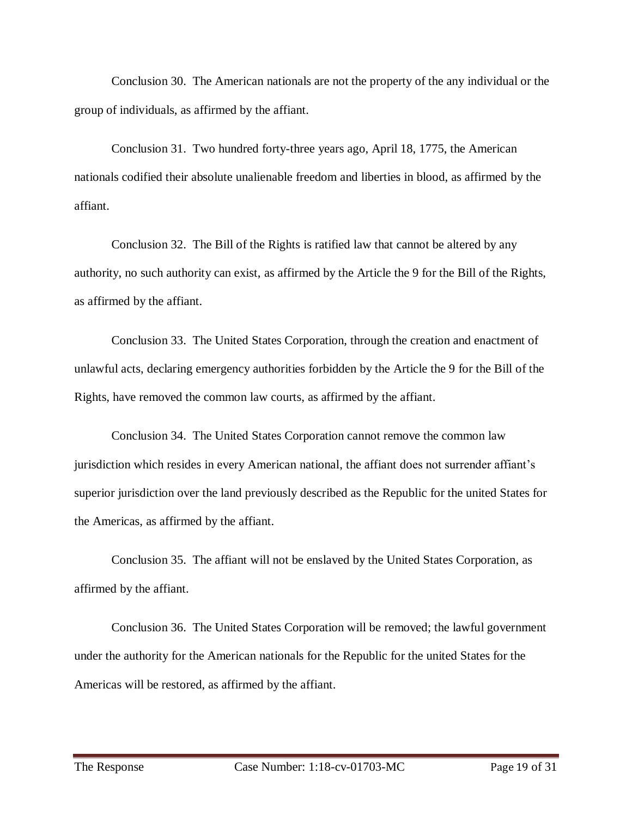Conclusion 30. The American nationals are not the property of the any individual or the group of individuals, as affirmed by the affiant.

Conclusion 31. Two hundred forty-three years ago, April 18, 1775, the American nationals codified their absolute unalienable freedom and liberties in blood, as affirmed by the affiant.

Conclusion 32. The Bill of the Rights is ratified law that cannot be altered by any authority, no such authority can exist, as affirmed by the Article the 9 for the Bill of the Rights, as affirmed by the affiant.

Conclusion 33. The United States Corporation, through the creation and enactment of unlawful acts, declaring emergency authorities forbidden by the Article the 9 for the Bill of the Rights, have removed the common law courts, as affirmed by the affiant.

Conclusion 34. The United States Corporation cannot remove the common law jurisdiction which resides in every American national, the affiant does not surrender affiant's superior jurisdiction over the land previously described as the Republic for the united States for the Americas, as affirmed by the affiant.

Conclusion 35. The affiant will not be enslaved by the United States Corporation, as affirmed by the affiant.

Conclusion 36. The United States Corporation will be removed; the lawful government under the authority for the American nationals for the Republic for the united States for the Americas will be restored, as affirmed by the affiant.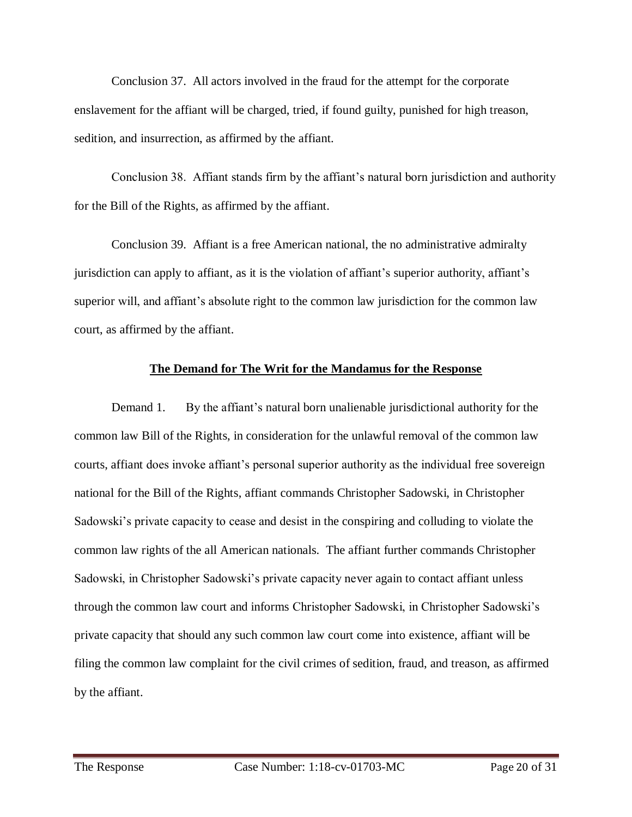Conclusion 37. All actors involved in the fraud for the attempt for the corporate enslavement for the affiant will be charged, tried, if found guilty, punished for high treason, sedition, and insurrection, as affirmed by the affiant.

Conclusion 38. Affiant stands firm by the affiant's natural born jurisdiction and authority for the Bill of the Rights, as affirmed by the affiant.

Conclusion 39. Affiant is a free American national, the no administrative admiralty jurisdiction can apply to affiant, as it is the violation of affiant's superior authority, affiant's superior will, and affiant's absolute right to the common law jurisdiction for the common law court, as affirmed by the affiant.

#### **The Demand for The Writ for the Mandamus for the Response**

Demand 1. By the affiant's natural born unalienable jurisdictional authority for the common law Bill of the Rights, in consideration for the unlawful removal of the common law courts, affiant does invoke affiant's personal superior authority as the individual free sovereign national for the Bill of the Rights, affiant commands Christopher Sadowski, in Christopher Sadowski's private capacity to cease and desist in the conspiring and colluding to violate the common law rights of the all American nationals. The affiant further commands Christopher Sadowski, in Christopher Sadowski's private capacity never again to contact affiant unless through the common law court and informs Christopher Sadowski, in Christopher Sadowski's private capacity that should any such common law court come into existence, affiant will be filing the common law complaint for the civil crimes of sedition, fraud, and treason, as affirmed by the affiant.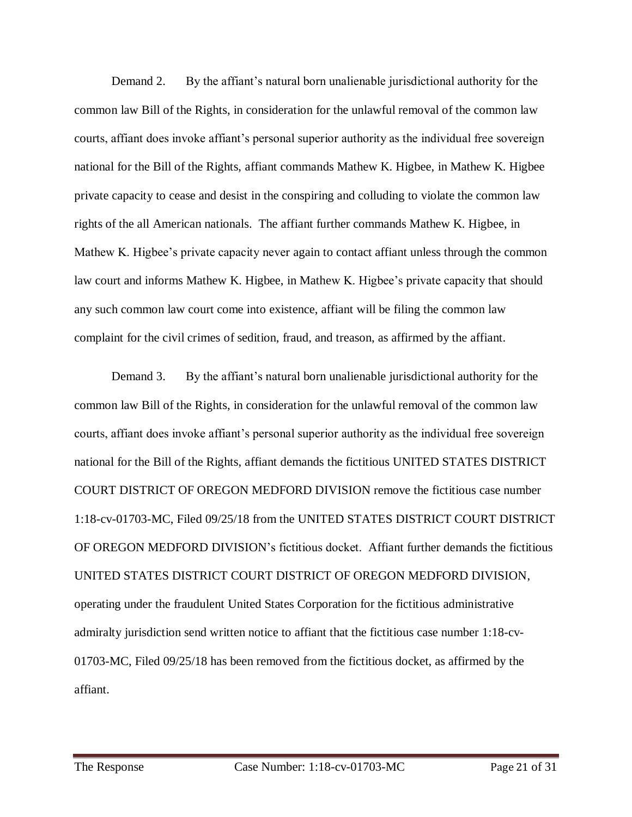Demand 2. By the affiant's natural born unalienable jurisdictional authority for the common law Bill of the Rights, in consideration for the unlawful removal of the common law courts, affiant does invoke affiant's personal superior authority as the individual free sovereign national for the Bill of the Rights, affiant commands Mathew K. Higbee, in Mathew K. Higbee private capacity to cease and desist in the conspiring and colluding to violate the common law rights of the all American nationals. The affiant further commands Mathew K. Higbee, in Mathew K. Higbee's private capacity never again to contact affiant unless through the common law court and informs Mathew K. Higbee, in Mathew K. Higbee's private capacity that should any such common law court come into existence, affiant will be filing the common law complaint for the civil crimes of sedition, fraud, and treason, as affirmed by the affiant.

Demand 3. By the affiant's natural born unalienable jurisdictional authority for the common law Bill of the Rights, in consideration for the unlawful removal of the common law courts, affiant does invoke affiant's personal superior authority as the individual free sovereign national for the Bill of the Rights, affiant demands the fictitious UNITED STATES DISTRICT COURT DISTRICT OF OREGON MEDFORD DIVISION remove the fictitious case number 1:18-cv-01703-MC, Filed 09/25/18 from the UNITED STATES DISTRICT COURT DISTRICT OF OREGON MEDFORD DIVISION's fictitious docket. Affiant further demands the fictitious UNITED STATES DISTRICT COURT DISTRICT OF OREGON MEDFORD DIVISION, operating under the fraudulent United States Corporation for the fictitious administrative admiralty jurisdiction send written notice to affiant that the fictitious case number 1:18-cv-01703-MC, Filed 09/25/18 has been removed from the fictitious docket, as affirmed by the affiant.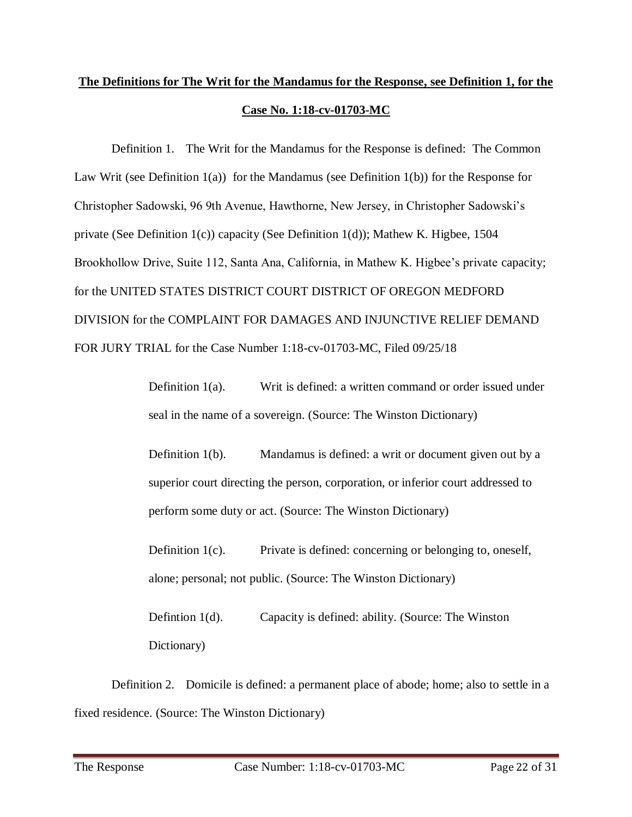# **The Definitions for The Writ for the Mandamus for the Response, see Definition 1, for the Case No. 1:18-cv-01703-MC**

Definition 1. The Writ for the Mandamus for the Response is defined: The Common Law Writ (see Definition  $1(a)$ ) for the Mandamus (see Definition  $1(b)$ ) for the Response for Christopher Sadowski, 96 9th Avenue, Hawthorne, New Jersey, in Christopher Sadowski's private (See Definition 1(c)) capacity (See Definition 1(d)); Mathew K. Higbee, 1504 Brookhollow Drive, Suite 112, Santa Ana, California, in Mathew K. Higbee's private capacity; for the UNITED STATES DISTRICT COURT DISTRICT OF OREGON MEDFORD DIVISION for the COMPLAINT FOR DAMAGES AND INJUNCTIVE RELIEF DEMAND FOR JURY TRIAL for the Case Number 1:18-cv-01703-MC, Filed 09/25/18

> Definition 1(a). Writ is defined: a written command or order issued under seal in the name of a sovereign. (Source: The Winston Dictionary)

> Definition 1(b). Mandamus is defined: a writ or document given out by a superior court directing the person, corporation, or inferior court addressed to perform some duty or act. (Source: The Winston Dictionary)

Definition 1(c). Private is defined: concerning or belonging to, oneself, alone; personal; not public. (Source: The Winston Dictionary)

Defintion 1(d). Capacity is defined: ability. (Source: The Winston Dictionary)

Definition 2. Domicile is defined: a permanent place of abode; home; also to settle in a fixed residence. (Source: The Winston Dictionary)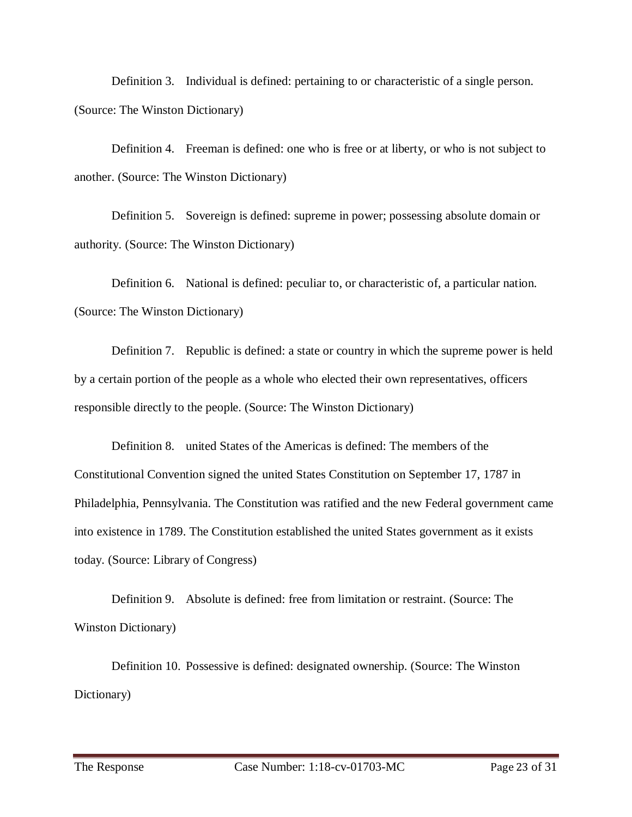Definition 3. Individual is defined: pertaining to or characteristic of a single person. (Source: The Winston Dictionary)

Definition 4. Freeman is defined: one who is free or at liberty, or who is not subject to another. (Source: The Winston Dictionary)

Definition 5. Sovereign is defined: supreme in power; possessing absolute domain or authority. (Source: The Winston Dictionary)

Definition 6. National is defined: peculiar to, or characteristic of, a particular nation. (Source: The Winston Dictionary)

Definition 7. Republic is defined: a state or country in which the supreme power is held by a certain portion of the people as a whole who elected their own representatives, officers responsible directly to the people. (Source: The Winston Dictionary)

Definition 8. united States of the Americas is defined: The members of the Constitutional Convention signed the united States Constitution on September 17, 1787 in Philadelphia, Pennsylvania. The Constitution was ratified and the new Federal government came into existence in 1789. The Constitution established the united States government as it exists today. (Source: Library of Congress)

Definition 9. Absolute is defined: free from limitation or restraint. (Source: The Winston Dictionary)

Definition 10. Possessive is defined: designated ownership. (Source: The Winston Dictionary)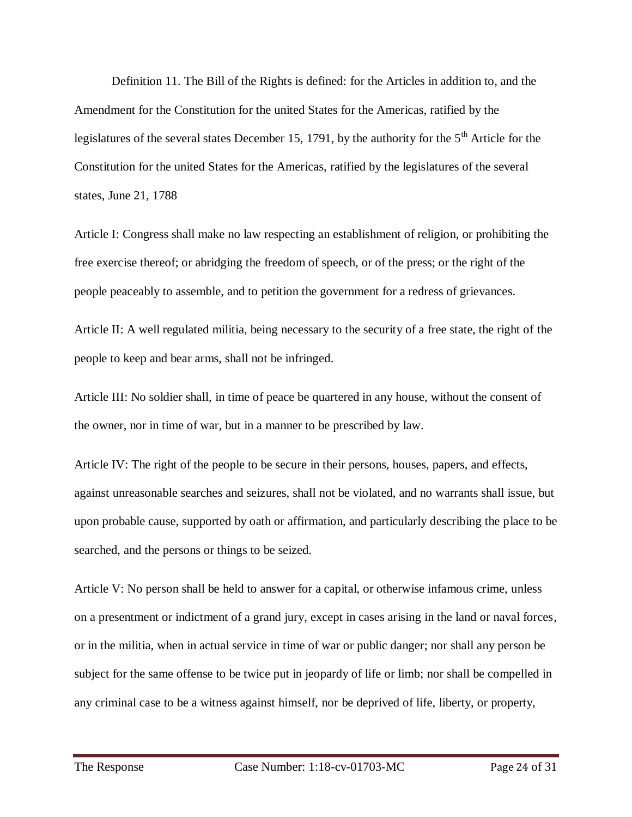Definition 11. The Bill of the Rights is defined: for the Articles in addition to, and the Amendment for the Constitution for the united States for the Americas, ratified by the legislatures of the several states December 15, 1791, by the authority for the  $5<sup>th</sup>$  Article for the Constitution for the united States for the Americas, ratified by the legislatures of the several states, June 21, 1788

Article I: Congress shall make no law respecting an establishment of religion, or prohibiting the free exercise thereof; or abridging the freedom of speech, or of the press; or the right of the people peaceably to assemble, and to petition the government for a redress of grievances.

Article II: A well regulated militia, being necessary to the security of a free state, the right of the people to keep and bear arms, shall not be infringed.

Article III: No soldier shall, in time of peace be quartered in any house, without the consent of the owner, nor in time of war, but in a manner to be prescribed by law.

Article IV: The right of the people to be secure in their persons, houses, papers, and effects, against unreasonable searches and seizures, shall not be violated, and no warrants shall issue, but upon probable cause, supported by oath or affirmation, and particularly describing the place to be searched, and the persons or things to be seized.

Article V: No person shall be held to answer for a capital, or otherwise infamous crime, unless on a presentment or indictment of a grand jury, except in cases arising in the land or naval forces, or in the militia, when in actual service in time of war or public danger; nor shall any person be subject for the same offense to be twice put in jeopardy of life or limb; nor shall be compelled in any criminal case to be a witness against himself, nor be deprived of life, liberty, or property,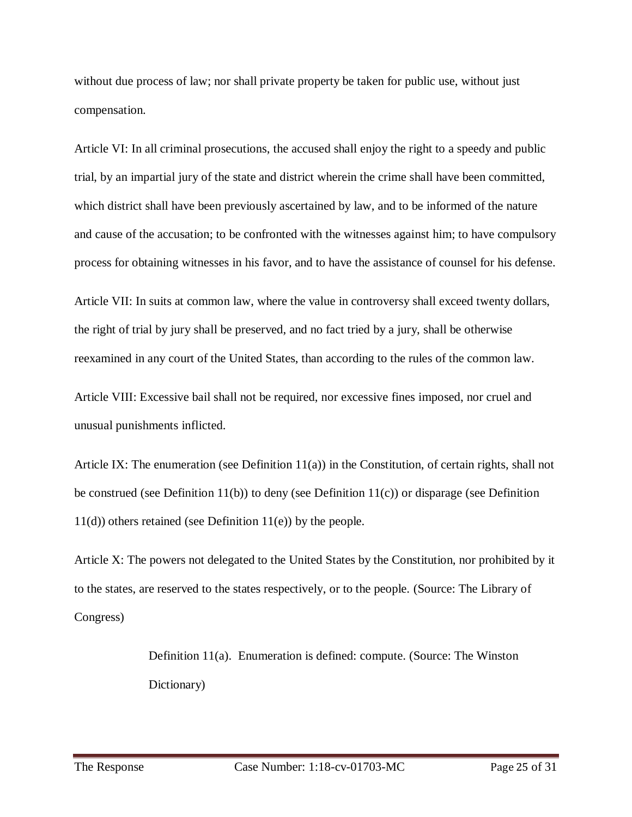without due process of law; nor shall private property be taken for public use, without just compensation.

Article VI: In all criminal prosecutions, the accused shall enjoy the right to a speedy and public trial, by an impartial jury of the state and district wherein the crime shall have been committed, which district shall have been previously ascertained by law, and to be informed of the nature and cause of the accusation; to be confronted with the witnesses against him; to have compulsory process for obtaining witnesses in his favor, and to have the assistance of counsel for his defense.

Article VII: In suits at common law, where the value in controversy shall exceed twenty dollars, the right of trial by jury shall be preserved, and no fact tried by a jury, shall be otherwise reexamined in any court of the United States, than according to the rules of the common law.

Article VIII: Excessive bail shall not be required, nor excessive fines imposed, nor cruel and unusual punishments inflicted.

Article IX: The enumeration (see Definition 11(a)) in the Constitution, of certain rights, shall not be construed (see Definition 11(b)) to deny (see Definition 11(c)) or disparage (see Definition 11(d)) others retained (see Definition 11(e)) by the people.

Article X: The powers not delegated to the United States by the Constitution, nor prohibited by it to the states, are reserved to the states respectively, or to the people. (Source: The Library of Congress)

> Definition 11(a). Enumeration is defined: compute. (Source: The Winston Dictionary)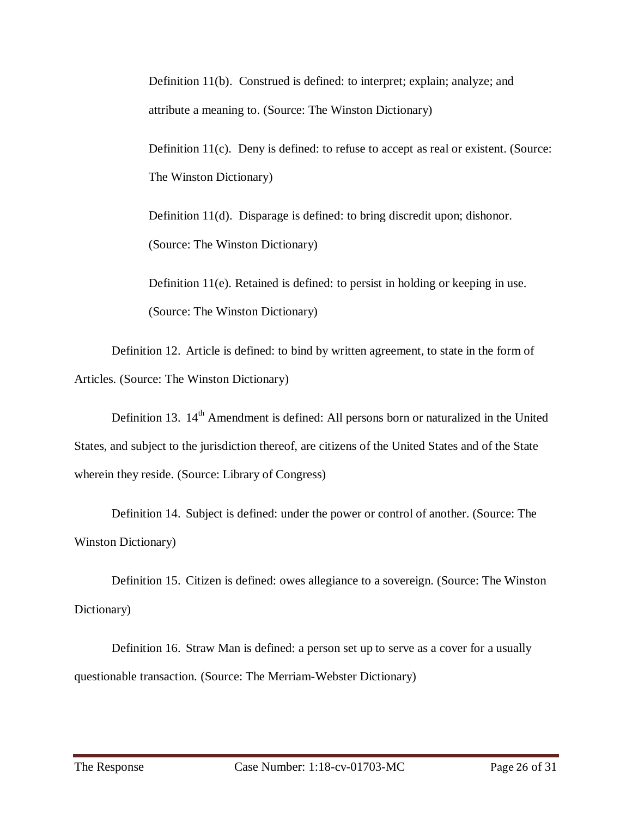Definition 11(b). Construed is defined: to interpret; explain; analyze; and attribute a meaning to. (Source: The Winston Dictionary)

Definition  $11(c)$ . Deny is defined: to refuse to accept as real or existent. (Source: The Winston Dictionary)

Definition 11(d). Disparage is defined: to bring discredit upon; dishonor. (Source: The Winston Dictionary)

Definition 11(e). Retained is defined: to persist in holding or keeping in use. (Source: The Winston Dictionary)

Definition 12. Article is defined: to bind by written agreement, to state in the form of Articles. (Source: The Winston Dictionary)

Definition 13. 14<sup>th</sup> Amendment is defined: All persons born or naturalized in the United States, and subject to the jurisdiction thereof, are citizens of the United States and of the State wherein they reside. (Source: Library of Congress)

Definition 14. Subject is defined: under the power or control of another. (Source: The Winston Dictionary)

Definition 15. Citizen is defined: owes allegiance to a sovereign. (Source: The Winston Dictionary)

Definition 16. Straw Man is defined: a person set up to serve as a cover for a usually questionable transaction. (Source: The Merriam-Webster Dictionary)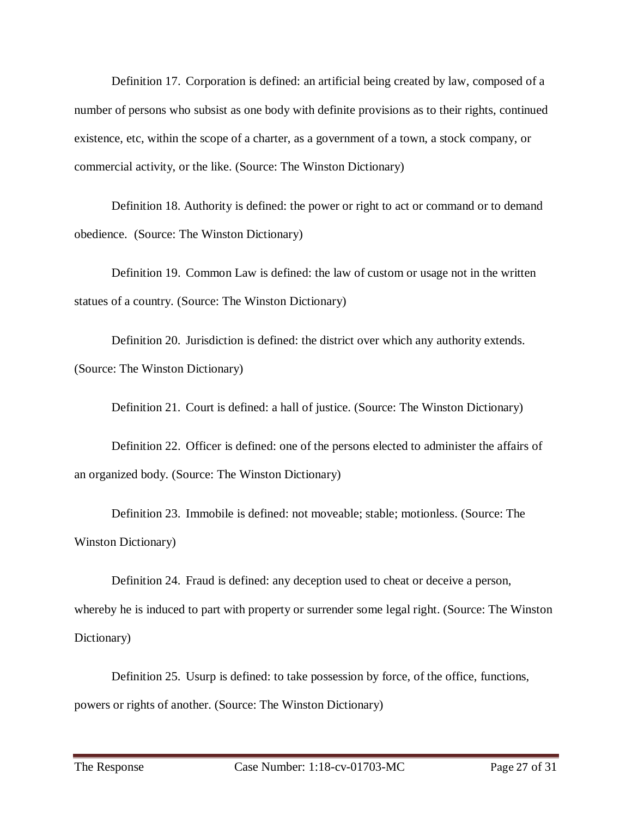Definition 17. Corporation is defined: an artificial being created by law, composed of a number of persons who subsist as one body with definite provisions as to their rights, continued existence, etc, within the scope of a charter, as a government of a town, a stock company, or commercial activity, or the like. (Source: The Winston Dictionary)

Definition 18. Authority is defined: the power or right to act or command or to demand obedience. (Source: The Winston Dictionary)

Definition 19. Common Law is defined: the law of custom or usage not in the written statues of a country. (Source: The Winston Dictionary)

Definition 20. Jurisdiction is defined: the district over which any authority extends. (Source: The Winston Dictionary)

Definition 21. Court is defined: a hall of justice. (Source: The Winston Dictionary)

Definition 22. Officer is defined: one of the persons elected to administer the affairs of an organized body. (Source: The Winston Dictionary)

Definition 23. Immobile is defined: not moveable; stable; motionless. (Source: The Winston Dictionary)

Definition 24. Fraud is defined: any deception used to cheat or deceive a person, whereby he is induced to part with property or surrender some legal right. (Source: The Winston Dictionary)

Definition 25. Usurp is defined: to take possession by force, of the office, functions, powers or rights of another. (Source: The Winston Dictionary)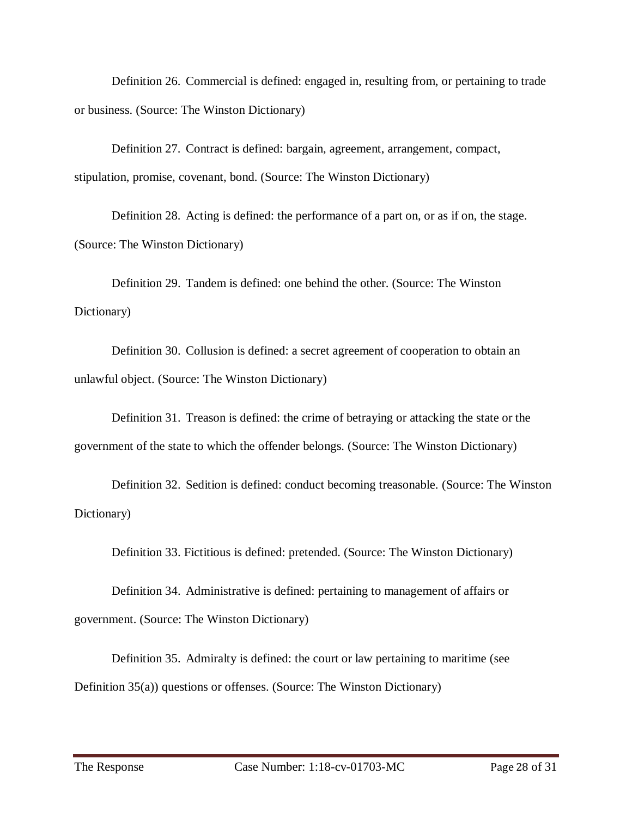Definition 26. Commercial is defined: engaged in, resulting from, or pertaining to trade or business. (Source: The Winston Dictionary)

Definition 27. Contract is defined: bargain, agreement, arrangement, compact, stipulation, promise, covenant, bond. (Source: The Winston Dictionary)

Definition 28. Acting is defined: the performance of a part on, or as if on, the stage. (Source: The Winston Dictionary)

Definition 29. Tandem is defined: one behind the other. (Source: The Winston Dictionary)

Definition 30. Collusion is defined: a secret agreement of cooperation to obtain an unlawful object. (Source: The Winston Dictionary)

Definition 31. Treason is defined: the crime of betraying or attacking the state or the government of the state to which the offender belongs. (Source: The Winston Dictionary)

Definition 32. Sedition is defined: conduct becoming treasonable. (Source: The Winston Dictionary)

Definition 33. Fictitious is defined: pretended. (Source: The Winston Dictionary)

Definition 34. Administrative is defined: pertaining to management of affairs or government. (Source: The Winston Dictionary)

Definition 35. Admiralty is defined: the court or law pertaining to maritime (see Definition 35(a)) questions or offenses. (Source: The Winston Dictionary)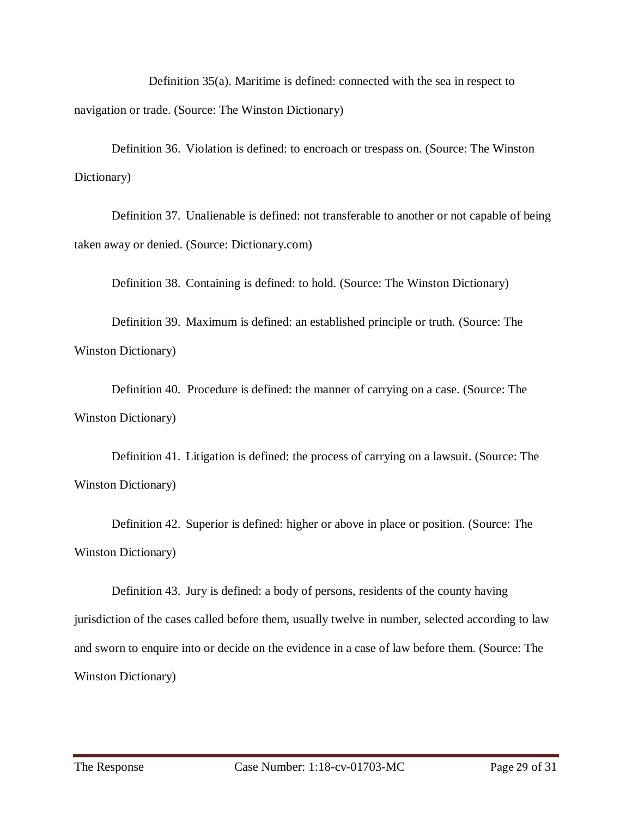Definition 35(a). Maritime is defined: connected with the sea in respect to navigation or trade. (Source: The Winston Dictionary)

Definition 36. Violation is defined: to encroach or trespass on. (Source: The Winston Dictionary)

Definition 37. Unalienable is defined: not transferable to another or not capable of being taken away or denied. (Source: Dictionary.com)

Definition 38. Containing is defined: to hold. (Source: The Winston Dictionary)

Definition 39. Maximum is defined: an established principle or truth. (Source: The Winston Dictionary)

Definition 40. Procedure is defined: the manner of carrying on a case. (Source: The Winston Dictionary)

Definition 41. Litigation is defined: the process of carrying on a lawsuit. (Source: The Winston Dictionary)

Definition 42. Superior is defined: higher or above in place or position. (Source: The Winston Dictionary)

Definition 43. Jury is defined: a body of persons, residents of the county having jurisdiction of the cases called before them, usually twelve in number, selected according to law and sworn to enquire into or decide on the evidence in a case of law before them. (Source: The Winston Dictionary)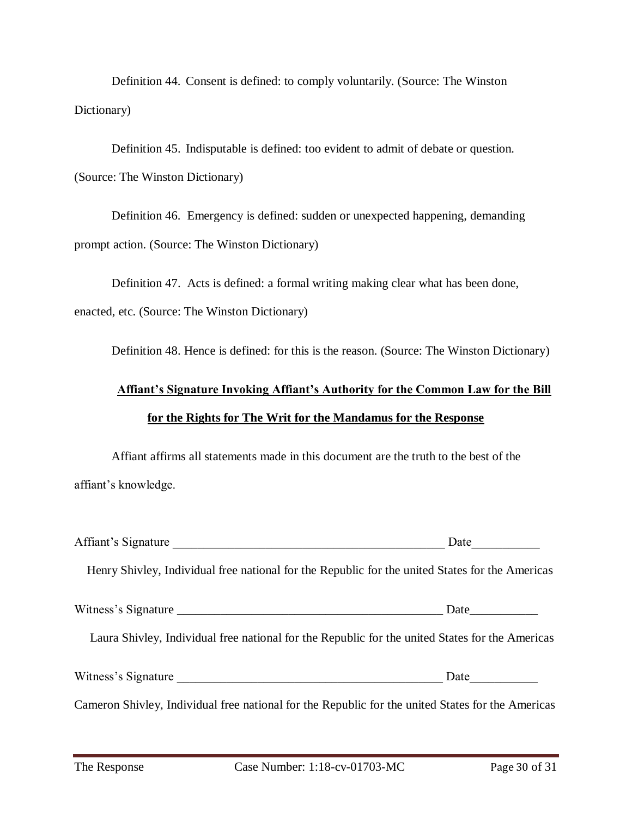Definition 44. Consent is defined: to comply voluntarily. (Source: The Winston Dictionary)

Definition 45. Indisputable is defined: too evident to admit of debate or question. (Source: The Winston Dictionary)

Definition 46. Emergency is defined: sudden or unexpected happening, demanding prompt action. (Source: The Winston Dictionary)

Definition 47. Acts is defined: a formal writing making clear what has been done, enacted, etc. (Source: The Winston Dictionary)

Definition 48. Hence is defined: for this is the reason. (Source: The Winston Dictionary)

# **Affiant's Signature Invoking Affiant's Authority for the Common Law for the Bill for the Rights for The Writ for the Mandamus for the Response**

Affiant affirms all statements made in this document are the truth to the best of the affiant's knowledge.

| Affiant's Signature                                                                               | Date $\qquad \qquad \qquad$ |
|---------------------------------------------------------------------------------------------------|-----------------------------|
| Henry Shivley, Individual free national for the Republic for the united States for the Americas   |                             |
|                                                                                                   |                             |
| Laura Shivley, Individual free national for the Republic for the united States for the Americas   |                             |
| Witness's Signature                                                                               |                             |
| Cameron Shivley, Individual free national for the Republic for the united States for the Americas |                             |